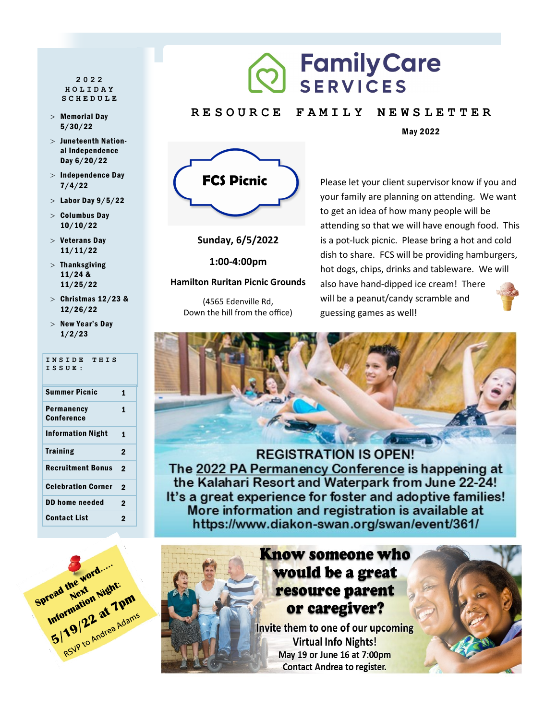#### **2022 HOLIDAY SCHEDULE**

- Memorial Day 5/30/22
- Juneteenth National Independence Day 6/20/22
- $>$  Independence Day 7/4/22
- $>$  Labor Day  $9/5/22$
- $>$  Columbus Day 10/10/22
- $>$  Veterans Day 11/11/22
- $>$  Thanksgiving 11/24 & 11/25/22
- $>$  Christmas 12/23 & 12/26/22
- $>$  New Year's Day 1/2/23

| INSIDE THIS<br>ISSUE:     |              |
|---------------------------|--------------|
| <b>Summer Picnic</b>      | 1            |
| Permanency<br>Conference  | 1            |
| <b>Information Night</b>  | 1            |
| <b>Training</b>           | $\mathbf{2}$ |
| <b>Recruitment Bonus</b>  | 2            |
| <b>Celebration Corner</b> | 2            |
| <b>DD home needed</b>     | $\mathbf 2$  |
| Contact List              | 2            |

# **Family Care** SERVICES

#### **R E S O U R C E F A M I L Y N E W S L E T T E R**

May 2022



**Sunday, 6/5/2022**

**1:00-4:00pm**

#### **Hamilton Ruritan Picnic Grounds**

(4565 Edenville Rd, Down the hill from the office)

## Please let your client supervisor know if you and your family are planning on attending. We want to get an idea of how many people will be attending so that we will have enough food. This is a pot-luck picnic. Please bring a hot and cold dish to share. FCS will be providing hamburgers, hot dogs, chips, drinks and tableware. We will also have hand-dipped ice cream! There will be a peanut/candy scramble and guessing games as well!



**REGISTRATION IS OPEN!** The 2022 PA Permanency Conference is happening at the Kalahari Resort and Waterpark from June 22-24! It's a great experience for foster and adoptive families! More information and registration is available at https://www.diakon-swan.org/swan/event/361/



# **Know someone who** would be a great resource parent or caregiver?

Invite them to one of our upcoming **Virtual Info Nights!** May 19 or June 16 at 7:00pm **Contact Andrea to register.**